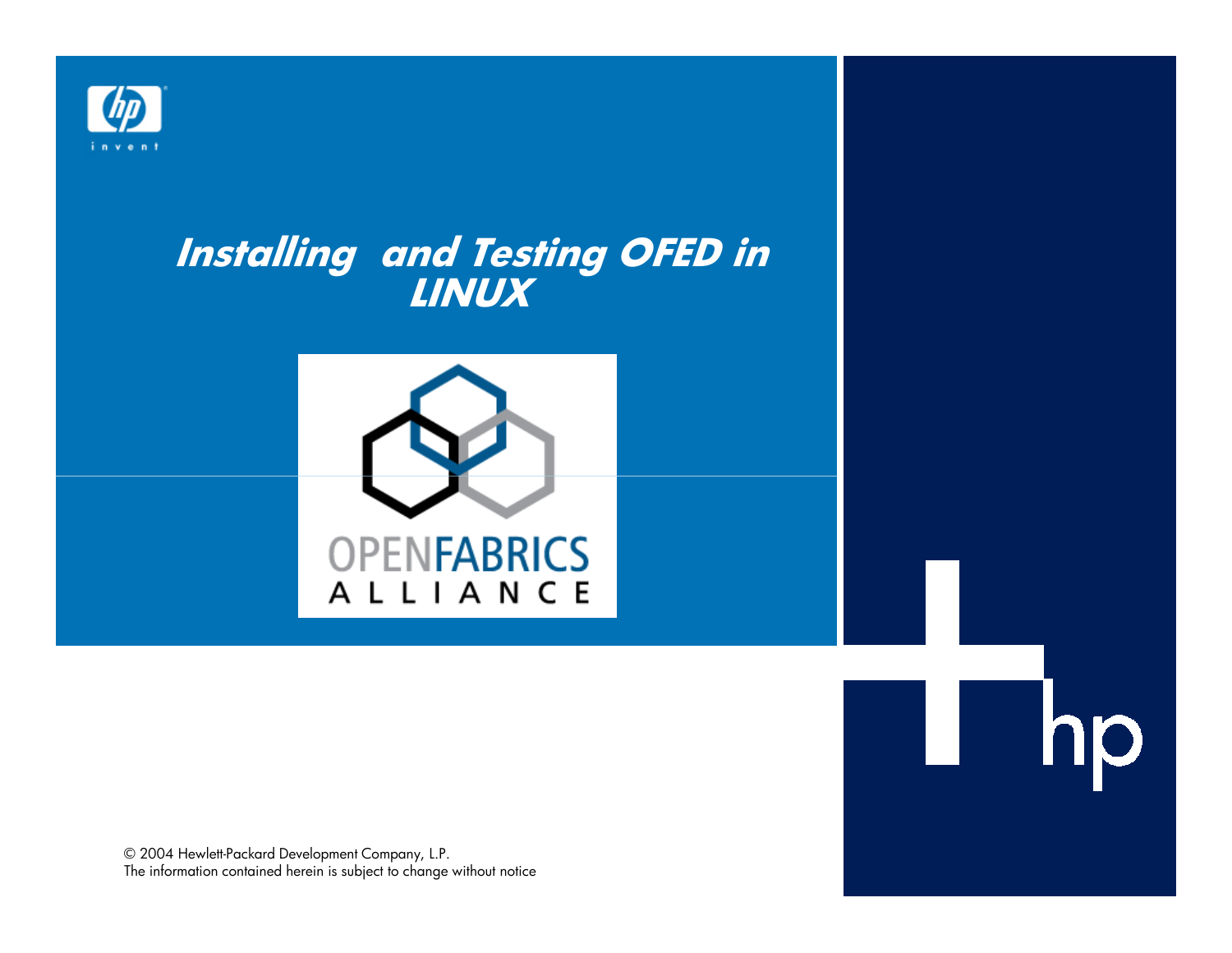

# **Installing and Testing OFED in LINUX**



ł

**ID** 

© 2004 Hewlett-Packard Development Company, L.P.The information contained herein is subject to change without notice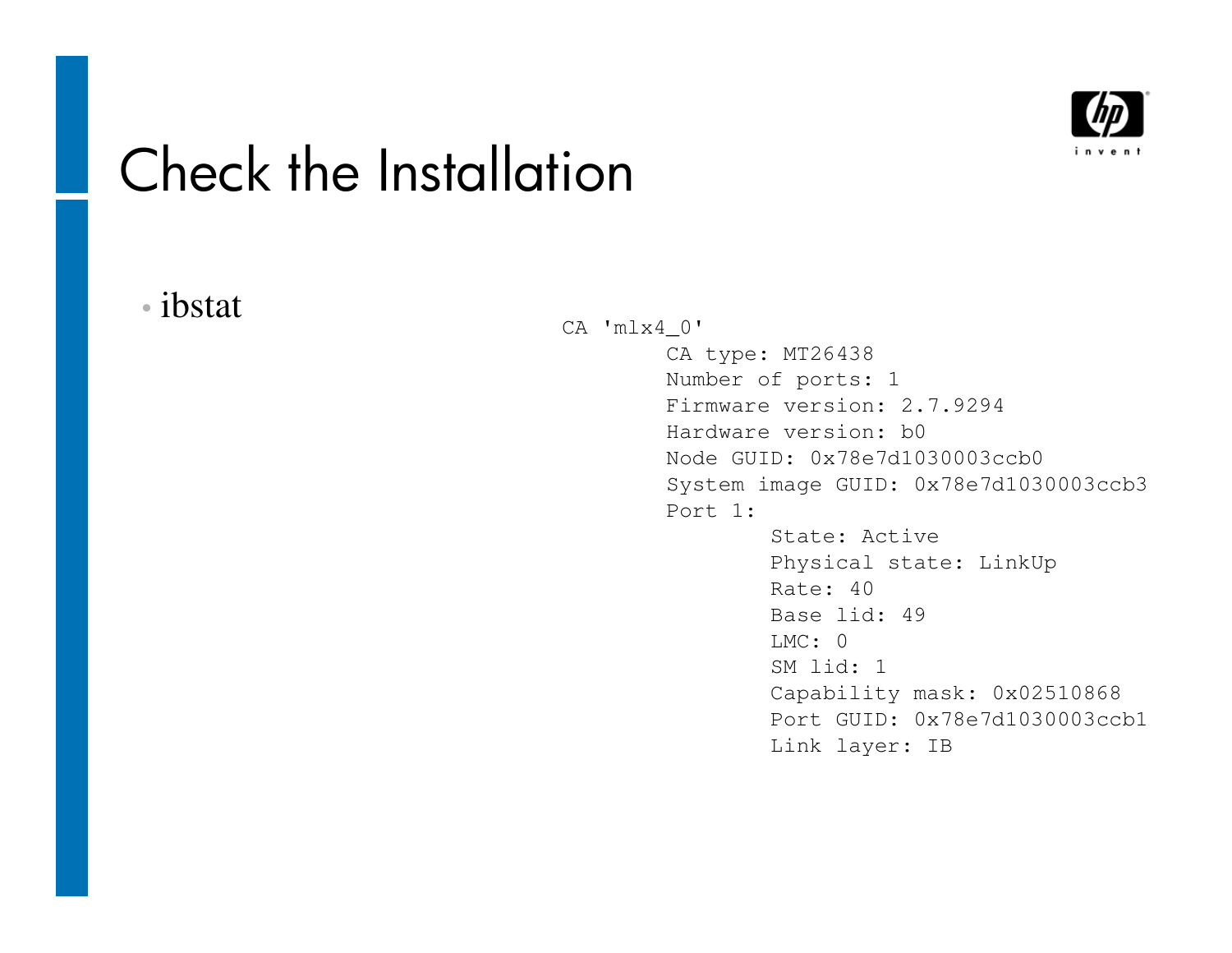

### Check the Installation

#### •ibstat

CA 'mlx4\_0' CA type: MT26438 Number of ports: 1 Firmware version: 2.7.9294Hardware version: b0 Node GUID: 0x78e7d1030003ccb0 System image GUID: 0x78e7d1030003ccb3Port 1:State: Active Physical state: LinkUpRate: 40 Base lid: 49 $LMC: 0$  SM lid: 1 Capability mask: 0x02510868 Port GUID: 0x78e7d1030003ccb1Link layer: IB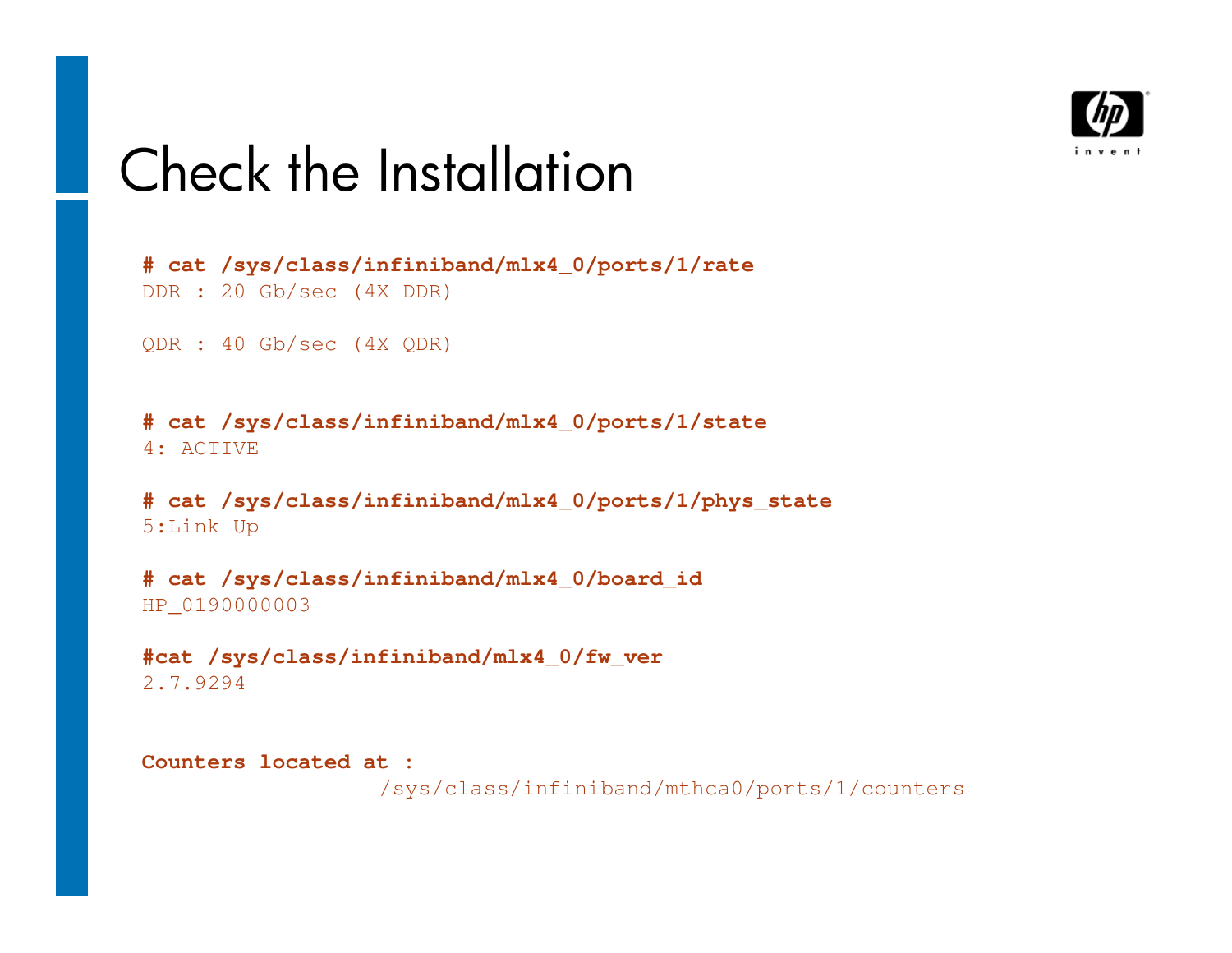

### Check the Installation

```
# cat /sys/class/infiniband/mlx4_0/ports/1/rateDDR : 20 Gb/sec (4X DDR)
```
QDR : 40 Gb/sec (4X QDR)

**# cat /sys/class/infiniband/mlx4\_0/ports/1/state**4: ACTIVE

**# cat /sys/class/infiniband/mlx4\_0/ports/1/phys\_state**5:Link Up

**# cat /sys/class/infiniband/mlx4\_0/board\_id**HP\_0190000003

**#cat /sys/class/infiniband/mlx4\_0/fw\_ver**2.7.9294

**Counters located at :**/sys/class/infiniband/mthca0/ports/1/counters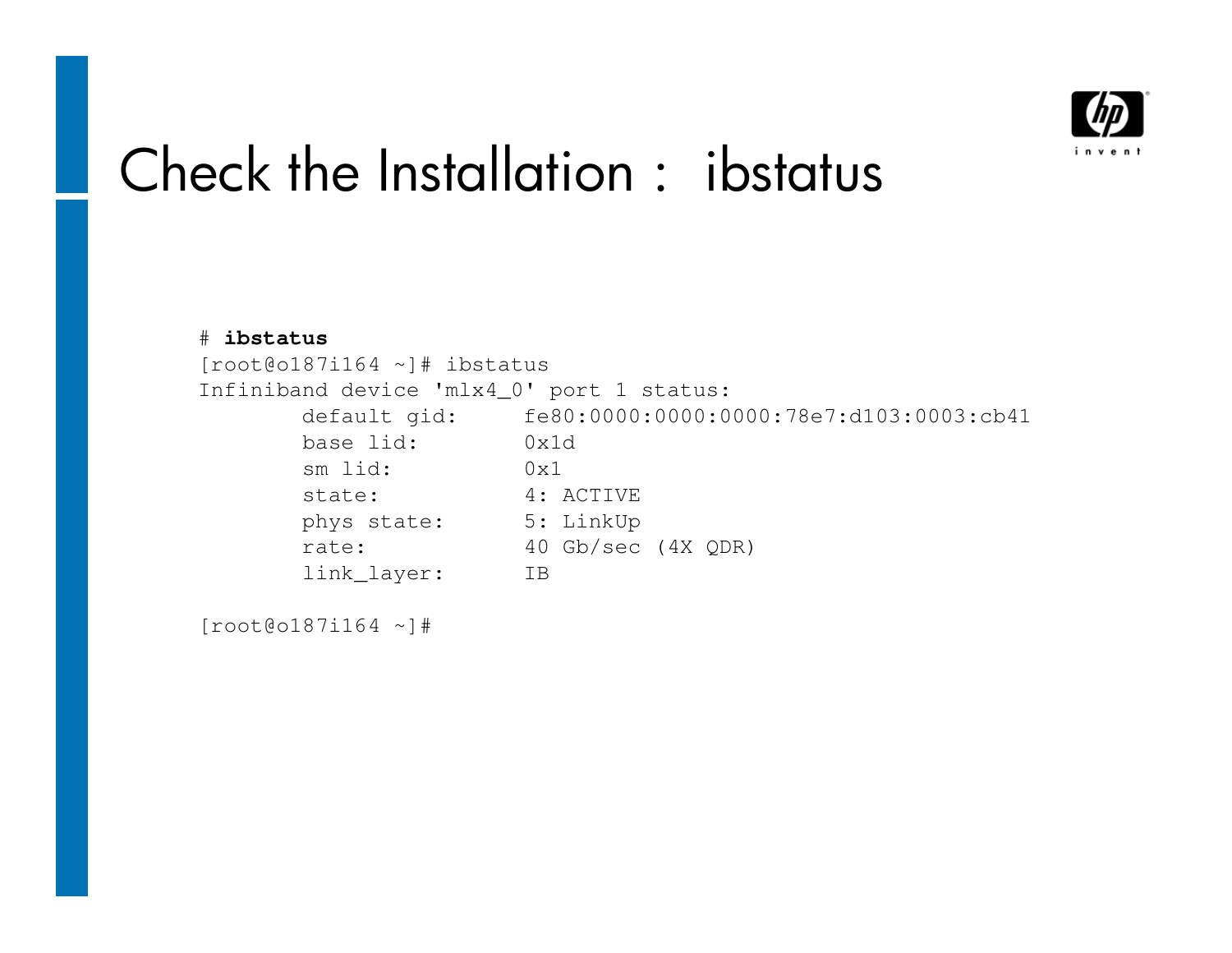

# Check the Installation : ibstatus

| $[root@o187i164 \sim]$ # ibstatus         |
|-------------------------------------------|
| Infiniband device 'mlx4_0' port 1 status: |
| fe80:0000:0000:0000:78e7:d103:0003:cb41   |
| 0x1d                                      |
| 0x1                                       |
| 4: ACTIVE                                 |
| 5: LinkUp                                 |
| 40 Gb/sec (4X ODR)                        |
| TB                                        |
|                                           |

[root@o187i164 ~]#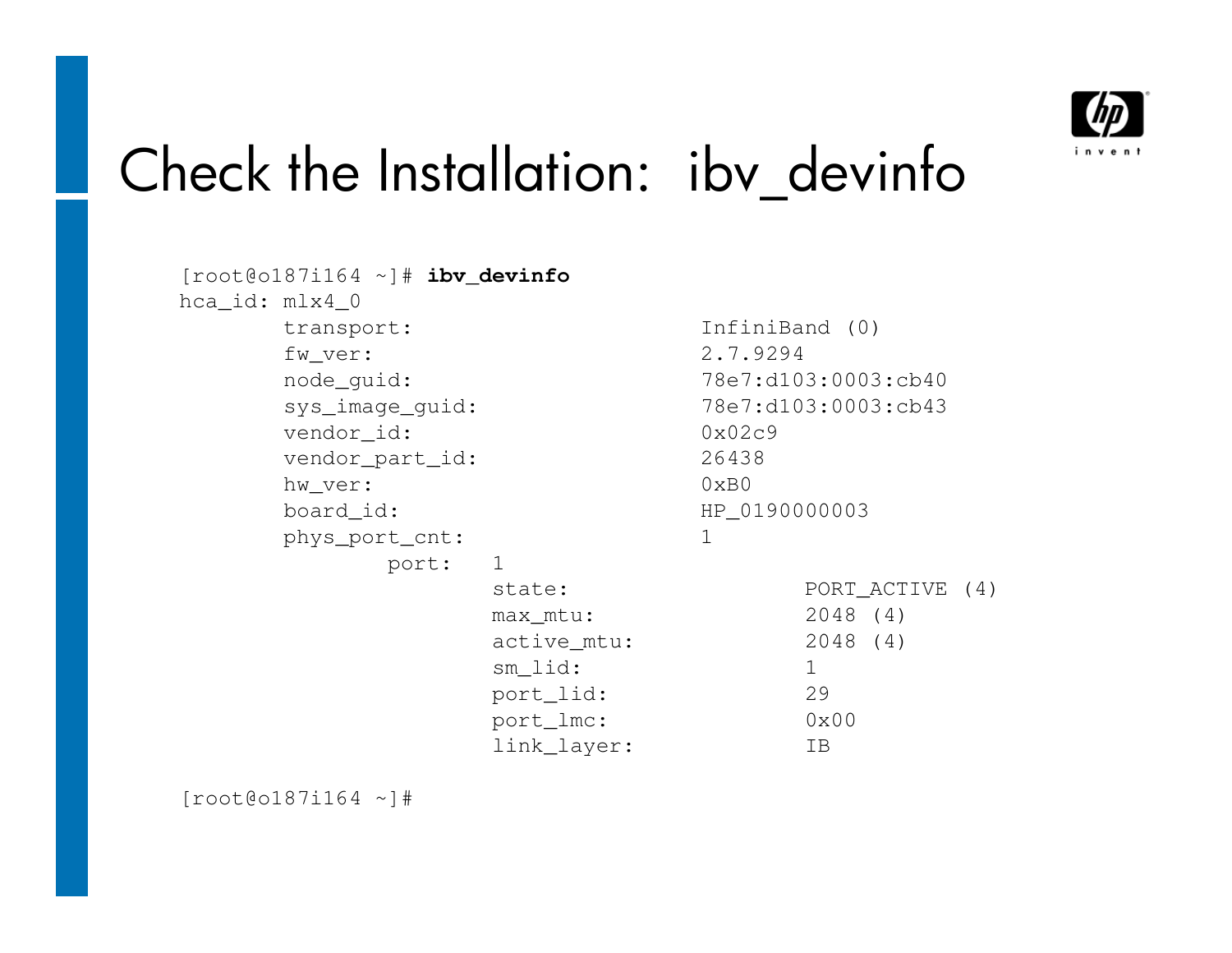

### Check the Installation: ibv\_devinfo

```
[root@o187i164 ~]# ibv_devinfohca_id: mlx4_0transport:
                            InfiniBand (0)
     fw ver: 2.7.9294

node_guid: 78e7:d103:0003:cb40
sys_image_guid: 78e7:d103:0003:cb43vendor_id: 0x02c9
                            26438
     vendor_part_id:
                            0 \times B0hw ver:

board_id: HP_0190000003phys_port_cnt: 1port: 1state:
                                  PORT_ACTIVE (4)
                 max_mtu: 2048 (4)
                                  2048(4)active mtu:
                 sm_lid: 129
                 port_lid:
                                  0 \times 00port_lmc:
                 link_layer: IB
```
[root@o187i164 ~]#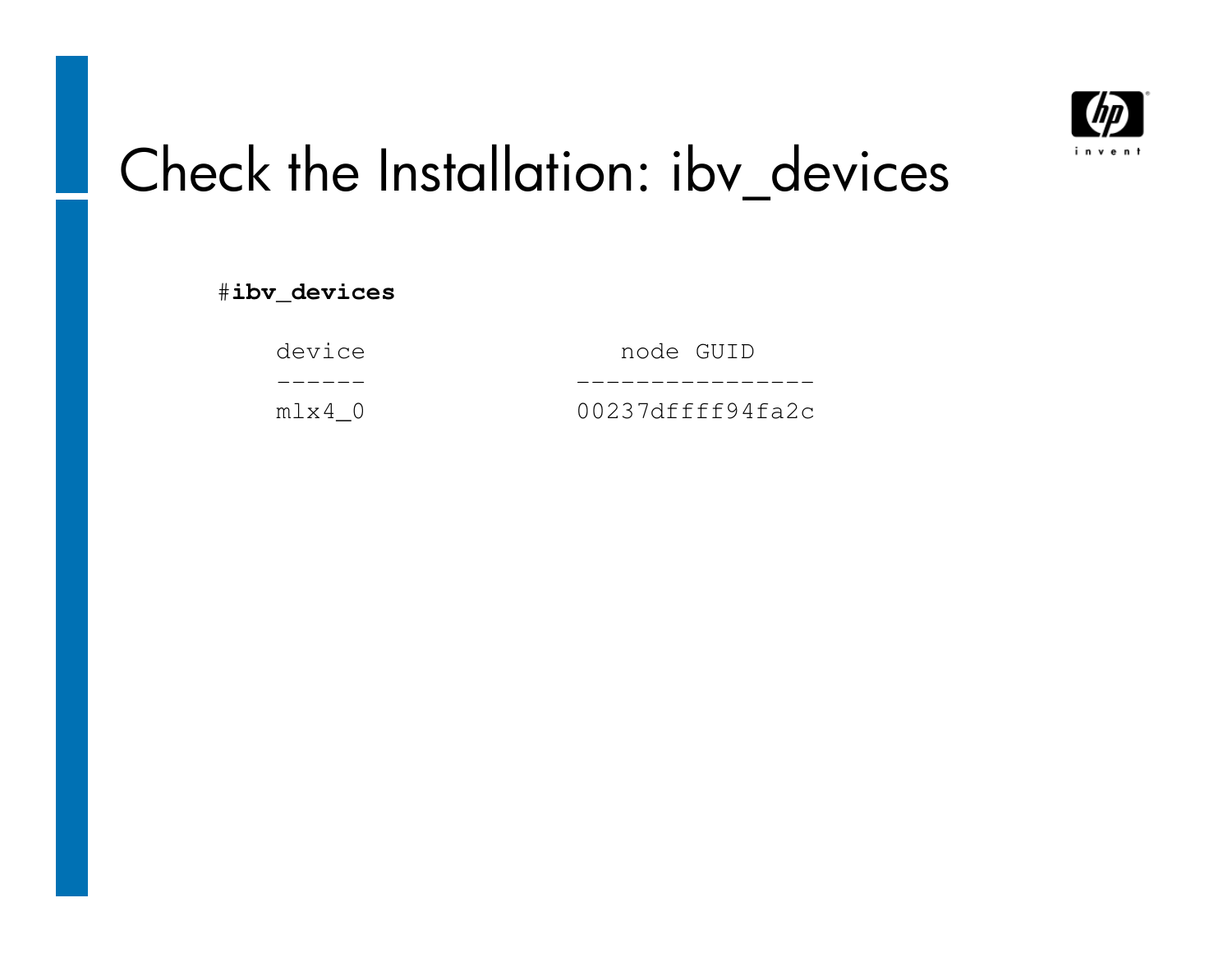

# Check the Installation: ibv\_devices

#**ibv\_devices**

| device | node GUID        |
|--------|------------------|
|        |                  |
| mlx4 0 | 00237dffff94fa2c |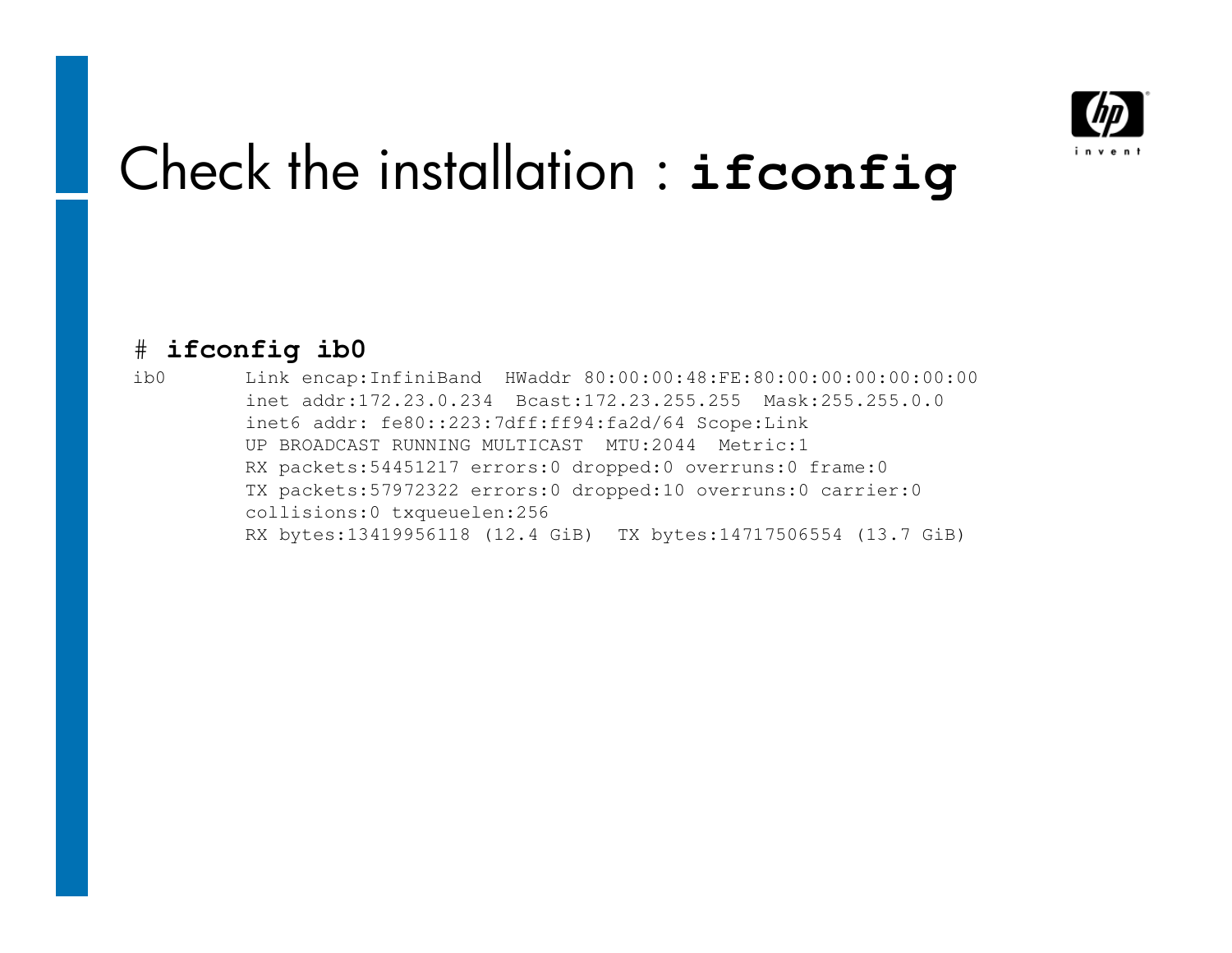

### Check the installation : **ifconfig**

#### # **ifconfig ib0**

 ib0 Link encap:InfiniBand HWaddr 80:00:00:48:FE:80:00:00:00:00:00:00inet addr:172.23.0.234 Bcast:172.23.255.255 Mask:255.255.0.0inet6 addr: fe80::223:7dff:ff94:fa2d/64 Scope:Link UP BROADCAST RUNNING MULTICAST MTU:2044 Metric:1 RX packets:54451217 errors:0 dropped:0 overruns:0 frame:0 TX packets:57972322 errors:0 dropped:10 overruns:0 carrier:0collisions:0 txqueuelen:256 RX bytes:13419956118 (12.4 GiB) TX bytes:14717506554 (13.7 GiB)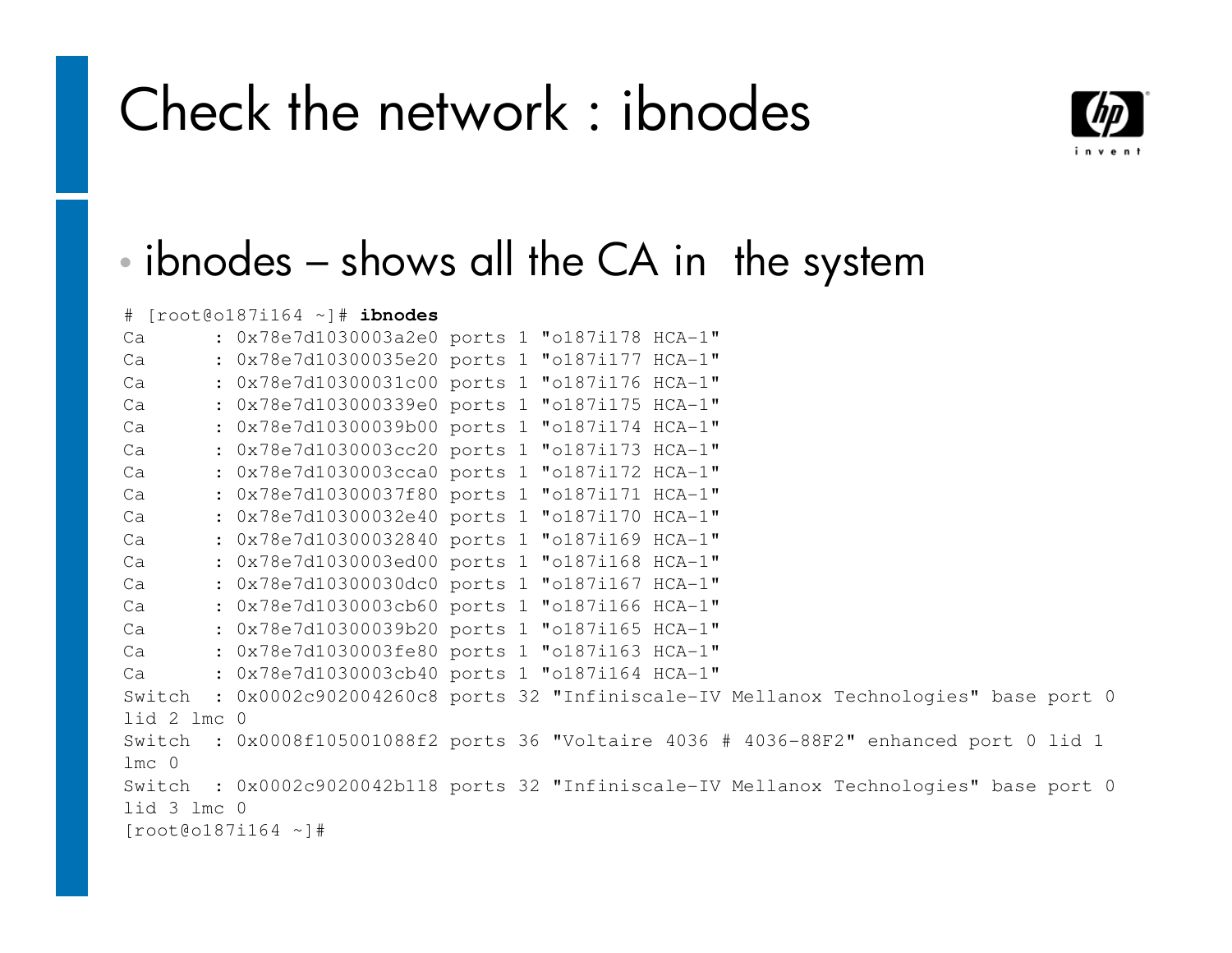### Check the network : ibnodes



#### •ibnodes – shows all the CA in the system

# [root@o187i164 ~]# **ibnodes**

| Ca               | : 0x78e7d1030003a2e0 ports 1 "o187i178 HCA-1"                                           |  |
|------------------|-----------------------------------------------------------------------------------------|--|
| Ca               | : 0x78e7d10300035e20 ports 1 "o187i177 HCA-1"                                           |  |
| Ca               | : 0x78e7d10300031c00 ports 1 "o187i176 HCA-1"                                           |  |
| Ca               | : 0x78e7d103000339e0 ports 1 "o187i175 HCA-1"                                           |  |
| Ca               | : 0x78e7d10300039b00 ports 1 "o187i174 HCA-1"                                           |  |
| Ca               | : 0x78e7d1030003cc20 ports 1 "o187i173 HCA-1"                                           |  |
| Ca               | : 0x78e7d1030003cca0 ports 1 "o187i172 HCA-1"                                           |  |
| Ca               | : 0x78e7d10300037f80 ports 1 "o187i171 HCA-1"                                           |  |
| Ca               | : 0x78e7d10300032e40 ports 1 "o187i170 HCA-1"                                           |  |
| Ca               | : 0x78e7d10300032840 ports 1 "o187i169 HCA-1"                                           |  |
| Ca               | : 0x78e7d1030003ed00 ports 1 "o187i168 HCA-1"                                           |  |
| Ca               | : 0x78e7d10300030dc0 ports 1 "o187i167 HCA-1"                                           |  |
| Ca               | : 0x78e7d1030003cb60 ports 1 "o187i166 HCA-1"                                           |  |
| Ca               | : 0x78e7d10300039b20 ports 1 "o187i165 HCA-1"                                           |  |
| Ca               | : 0x78e7d1030003fe80 ports 1 "o187i163 HCA-1"                                           |  |
| Ca               | : 0x78e7d1030003cb40 ports 1 "o187i164 HCA-1"                                           |  |
|                  | Switch : 0x0002c902004260c8 ports 32 "Infiniscale-IV Mellanox Technologies" base port 0 |  |
| lid 2 lmc 0      |                                                                                         |  |
|                  | Switch : 0x0008f105001088f2 ports 36 "Voltaire 4036 # 4036-88F2" enhanced port 0 lid 1  |  |
| 1mc <sub>0</sub> |                                                                                         |  |
|                  | Switch : 0x0002c9020042b118 ports 32 "Infiniscale-IV Mellanox Technologies" base port 0 |  |
| lid 3 lmc 0      |                                                                                         |  |
|                  | $[root@o187i164 \sim]$ #                                                                |  |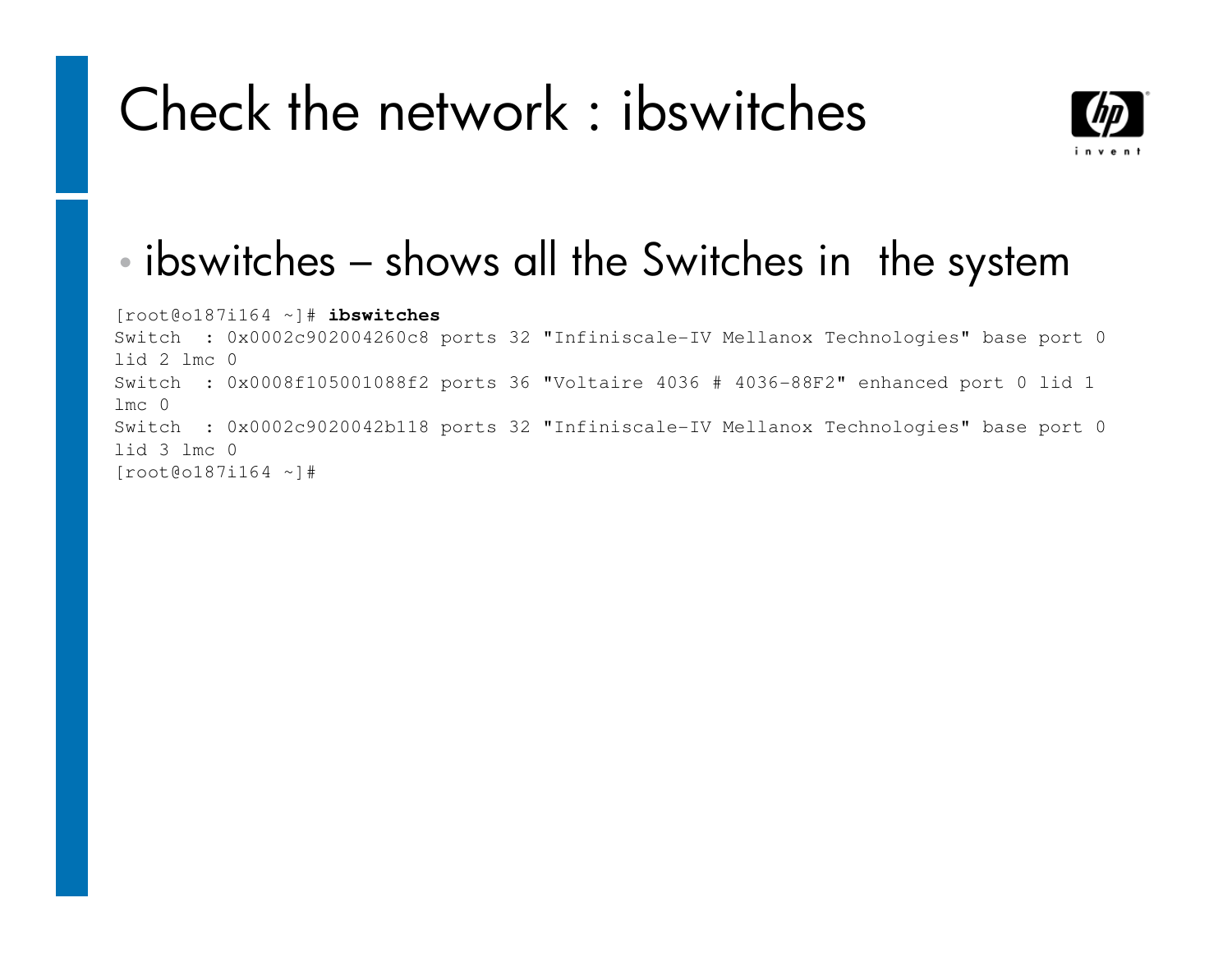### Check the network : ibswitches



#### •ibswitches – shows all the Switches in the system

[root@o187i164 ~]# **ibswitches** Switch : 0x0002c902004260c8 ports 32 "Infiniscale-IV Mellanox Technologies" base port 0 lid 2 lmc 0 Switch : 0x0008f105001088f2 ports 36 "Voltaire 4036 # 4036-88F2" enhanced port 0 lid 1 lmc 0 Switch : 0x0002c9020042b118 ports 32 "Infiniscale-IV Mellanox Technologies" base port 0 lid 3 lmc 0[root@o187i164 ~]#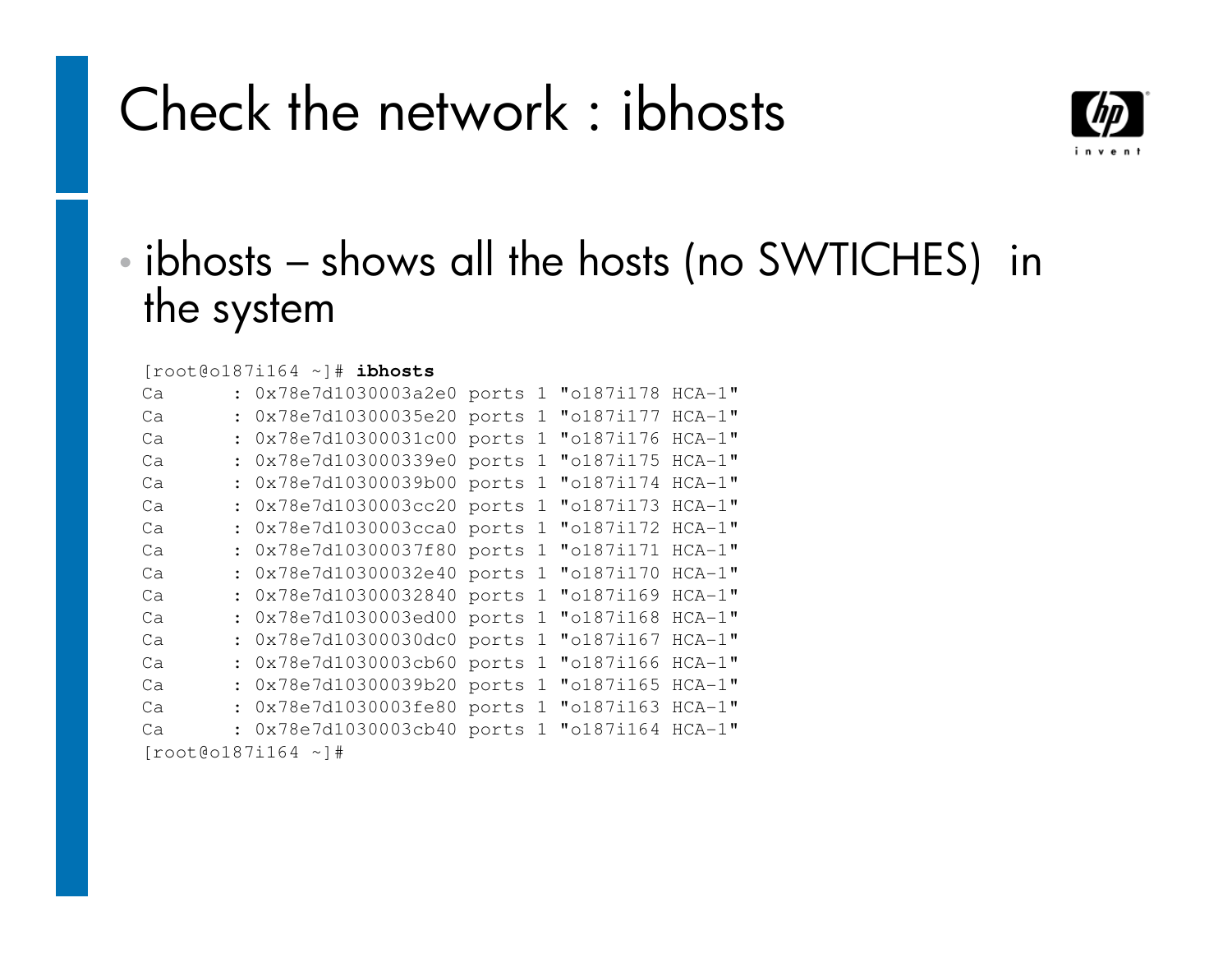### Check the network : ibhosts



#### •• ibhosts – shows all the hosts (no SWTICHES) in the system

#### [root@o187i164 ~]# **ibhosts**

| Ca                       |  | : 0x78e7d1030003a2e0 ports |  | $\mathbf{1}$ | "o187i178 HCA-1"   |  |  |  |
|--------------------------|--|----------------------------|--|--------------|--------------------|--|--|--|
| Ca                       |  | : 0x78e7d10300035e20 ports |  |              | 1 "o187i177 HCA-1" |  |  |  |
| Ca                       |  | : 0x78e7d10300031c00 ports |  |              | 1 "o187i176 HCA-1" |  |  |  |
| Ca                       |  | : 0x78e7d103000339e0 ports |  |              | 1 "o187i175 HCA-1" |  |  |  |
| Ca                       |  | : 0x78e7d10300039b00 ports |  | $\mathbf{1}$ | "o187i174 HCA-1"   |  |  |  |
| Ca                       |  | : 0x78e7d1030003cc20 ports |  |              | 1 "o187i173 HCA-1" |  |  |  |
| Ca                       |  | : 0x78e7d1030003cca0 ports |  |              | 1 "o187i172 HCA-1" |  |  |  |
| Ca                       |  | : 0x78e7d10300037f80 ports |  |              | 1 "o187i171 HCA-1" |  |  |  |
| Ca                       |  | : 0x78e7d10300032e40 ports |  | $\mathbf{1}$ | "o187i170 HCA-1"   |  |  |  |
| Ca                       |  | : 0x78e7d10300032840 ports |  |              | 1 "o187i169 HCA-1" |  |  |  |
| Ca                       |  | : 0x78e7d1030003ed00 ports |  |              | 1 "o187i168 HCA-1" |  |  |  |
| Ca                       |  | : 0x78e7d10300030dc0 ports |  | $\mathbf{1}$ | "o187i167 HCA-1"   |  |  |  |
| Ca                       |  | : 0x78e7d1030003cb60 ports |  | $\mathbf{1}$ | "o187i166 HCA-1"   |  |  |  |
| Ca                       |  | : 0x78e7d10300039b20 ports |  |              | 1 "o187i165 HCA-1" |  |  |  |
| Ca                       |  | : 0x78e7d1030003fe80 ports |  |              | 1 "o187i163 HCA-1" |  |  |  |
| Ca                       |  | : 0x78e7d1030003cb40 ports |  | $\mathbf{1}$ | "o187i164 HCA-1"   |  |  |  |
| $[root@o187i164 \sim]$ # |  |                            |  |              |                    |  |  |  |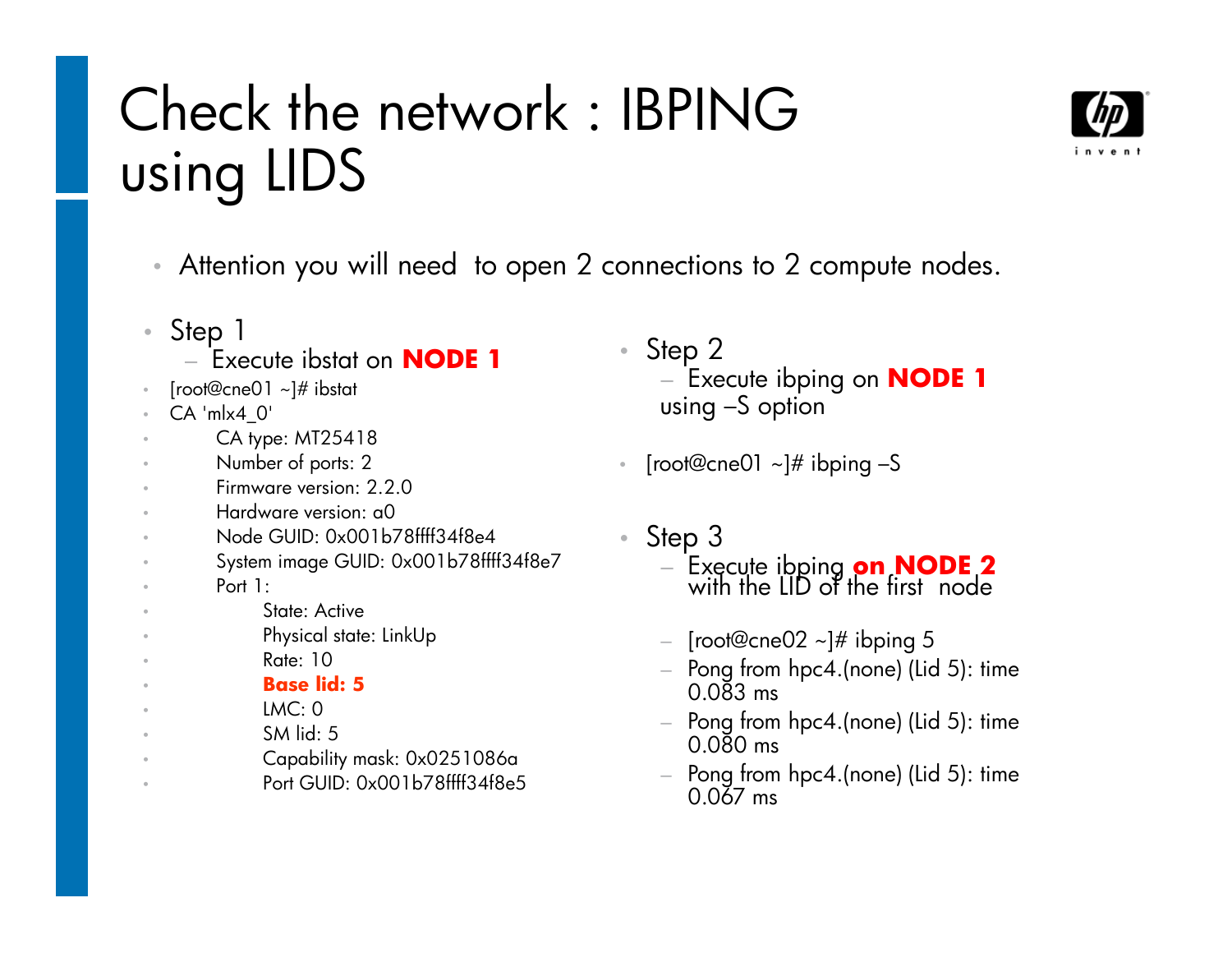### Check the network : IBPING using LIDS



- Step 1
	- гу Execute ibstat on **NODE 1**
- •[root@cne01 ~]# ibstat
- •CA 'mlx4\_0'
- •CA type: MT25418
- Number of ports: 2
- Firmware version: 2.2.0
- Hardware version: a0
- Node GUID: 0x001b78ffff34f8e4
- System image GUID: 0x001b78ffff34f8e7
	- Port 1:

••

•

•

•

•

- State: Active
- Physical state: LinkUp
	- Rate: 10
- **Base lid: 5**
	- LMC: 0
- SM lid: 5
- Capability mask: 0x0251086a
- Port GUID: 0x001b78ffff34f8e5
- Step 2− − Execute ibping on **NODE 1**  using –S option
- • $\text{\textdegree}$  [root@cne01 ~]# ibping –S
- Step 3
	- − − Execute ibping **on NODE 2** with the LID of the first node
	- − [root@cne02 ~]# ibping 5
	- − Pong trom hnc4 (none) (L  $-$  Pong from  $hpc4.(none)$  (Lid 5): time 0.083 ms
	- $-$  Pong from  $hpc4.(none)$  (Lid 5): time 0.080 ms
	- $-$  Pong from hpc4.(none) (Lid 5): time 0.067 ms

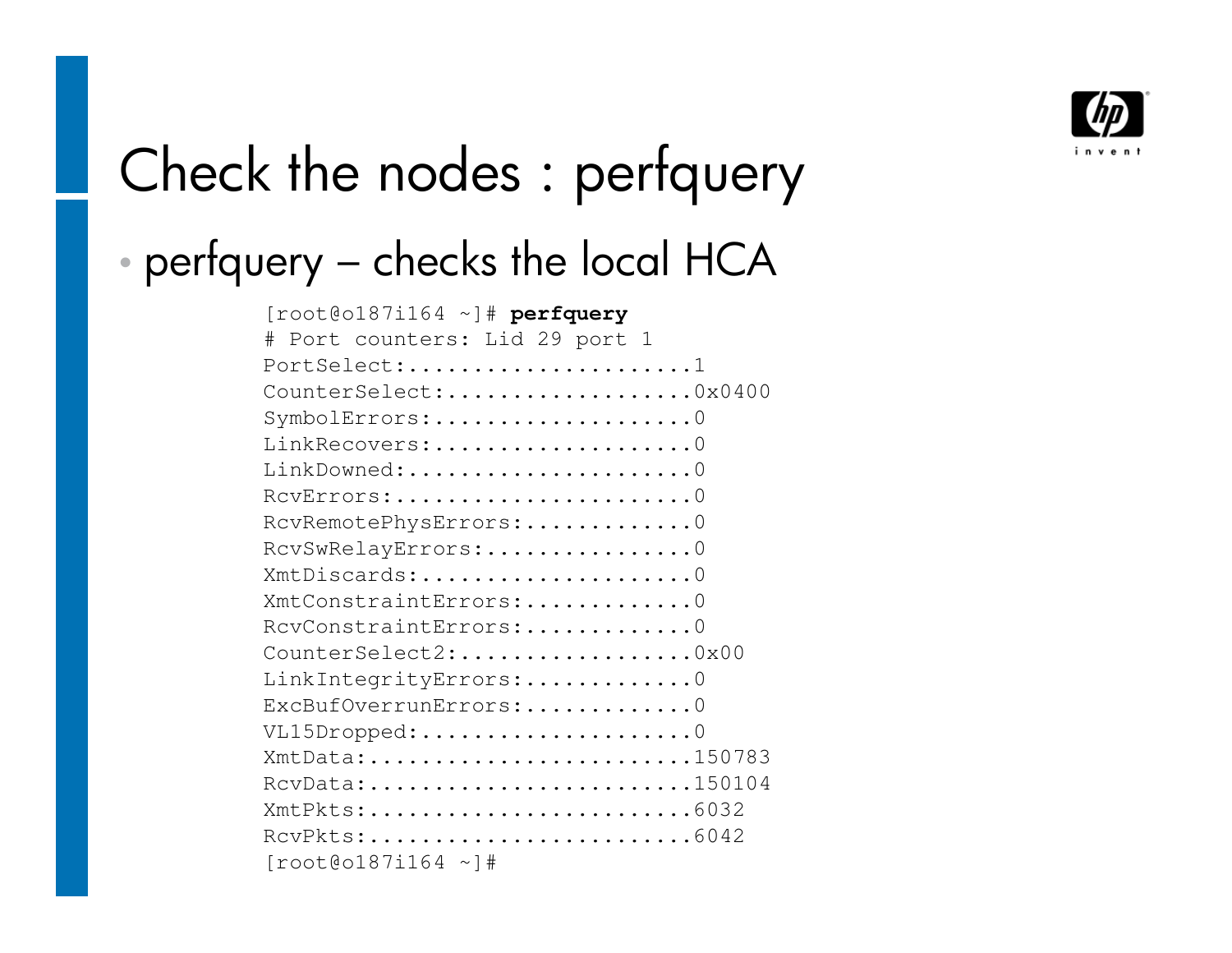

# Check the nodes : perfquery

#### •perfquery – checks the local HCA

| $[root@o187i164 -]$ # perfquery                                                       |
|---------------------------------------------------------------------------------------|
| Port counters: Lid 29 port 1<br>#                                                     |
| PortSelect:1                                                                          |
| CounterSelect:0x0400                                                                  |
| SymbolErrors:0                                                                        |
| LinkRecovers:0                                                                        |
| LinkDowned:0                                                                          |
| $RCVETTOTS: \ldots \ldots \ldots \ldots \ldots \ldots \ldots \ldots 0$                |
| RcvRemotePhysErrors:0                                                                 |
| RcvSwRelayErrors:0                                                                    |
| XmtDiscards:0                                                                         |
| XmtConstraintErrors:0                                                                 |
| RcvConstraintErrors:0                                                                 |
| CounterSelect2:0x00                                                                   |
| LinkIntegrityErrors:0                                                                 |
| ExcBufOverrunErrors:0                                                                 |
| $VL15Dropped: 0$                                                                      |
| XmtData:150783                                                                        |
| RcvData:150104                                                                        |
| XmtPkts:6032                                                                          |
| $RCvPKts: \ldots \ldots \ldots \ldots \ldots \ldots \ldots \ldots \ldots \ldots 6042$ |
| $[root@o187i164 \sim]$ #                                                              |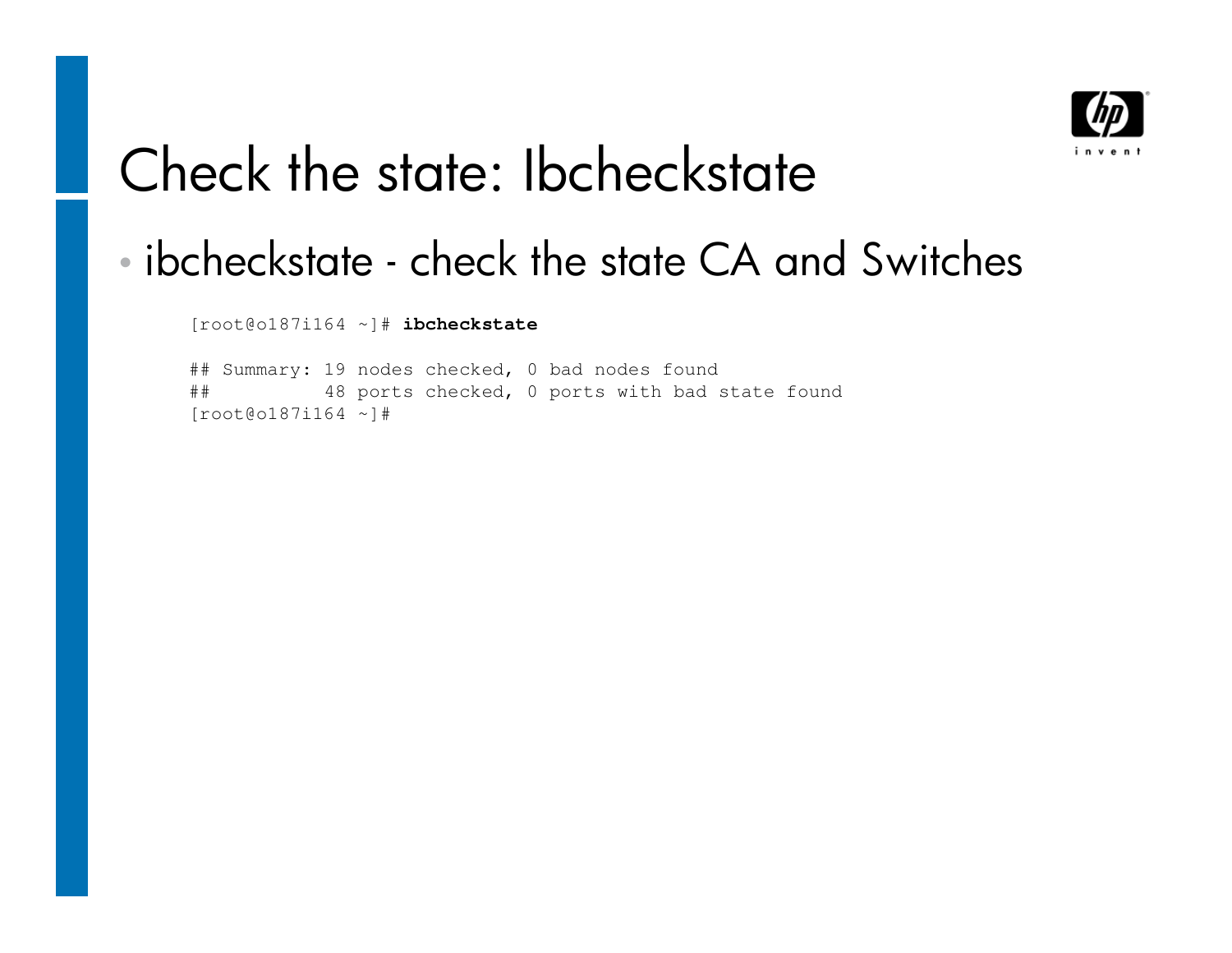

### Check the state: Ibcheckstate

#### •ibcheckstate - check the state CA and Switches

[root@o187i164 ~]# **ibcheckstate** 

## Summary: 19 nodes checked, 0 bad nodes found ## 48 ports checked, 0 ports with bad state found[root@o187i164 ~]#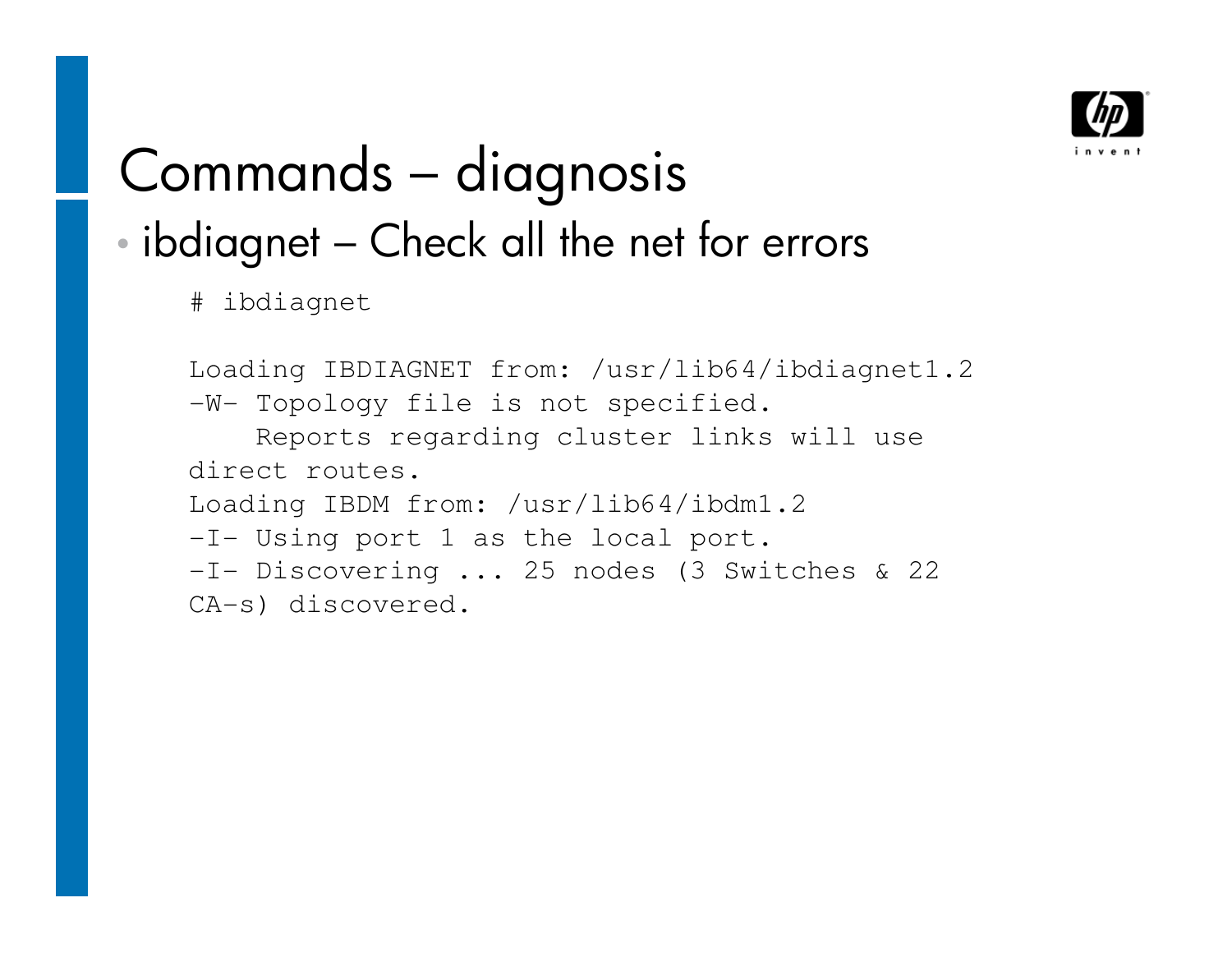

### Commands – diagnosis •ibdiagnet – Check all the net for errors

# ibdiagnet

```
Loading IBDIAGNET from: /usr/lib64/ibdiagnet1.2-W- Topology file is not specified.
    Reports regarding cluster links will use direct routes.
Loading IBDM from: /usr/lib64/ibdm1.2-I- Using port 1 as the local port.
-I- Discovering ... 25 nodes (3 Switches & 22 
CA-s) discovered.
```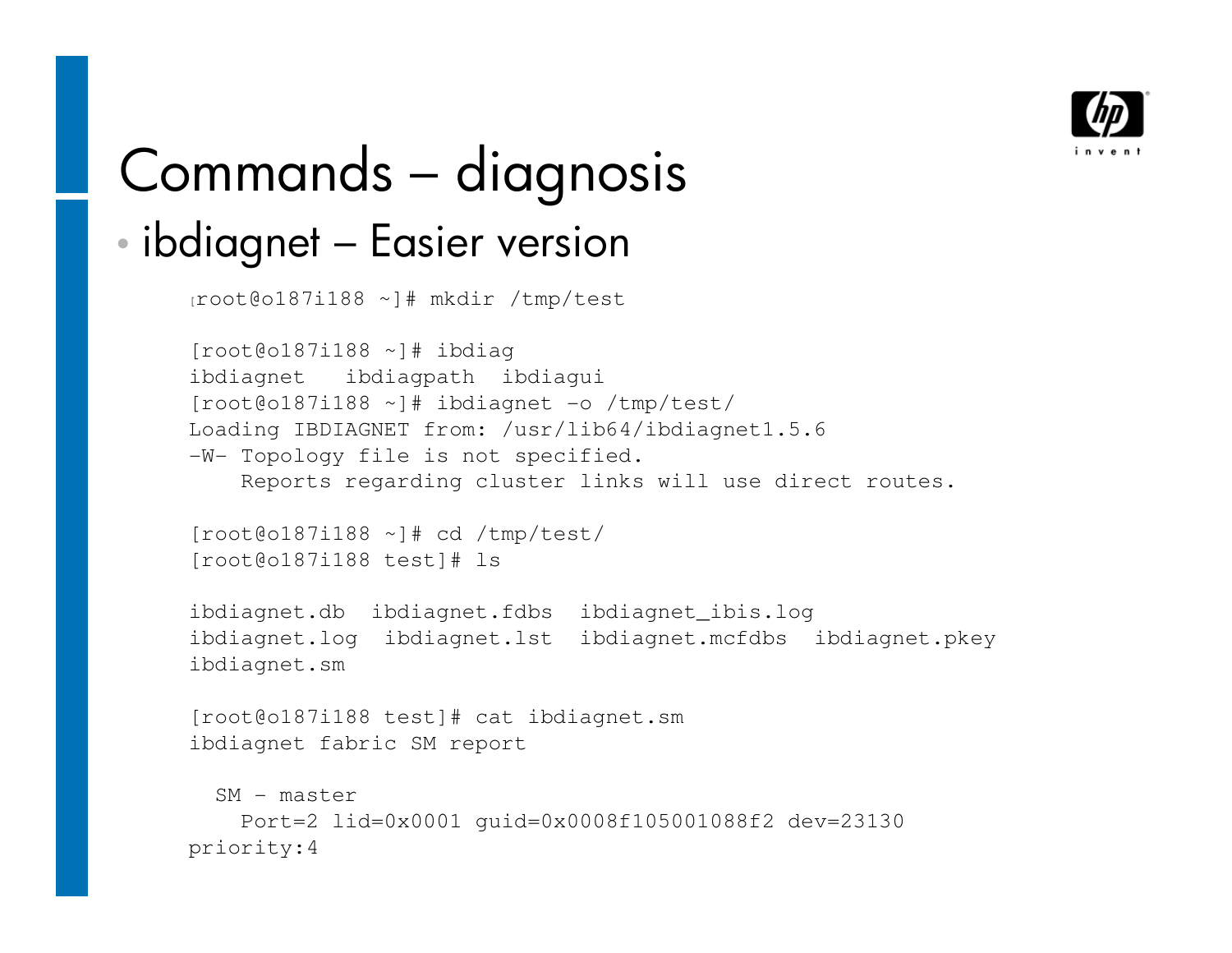

### Commands – diagnosis •ibdiagnet – Easier version

```
[root@o187i188 ~]# mkdir /tmp/test
```

```
[root@o187i188 \sim]# ibdiag

ibdiagnet ibdiagpath ibdiagui
[root@o187i188 ~]# ibdiagnet -o /tmp/test/
Loading IBDIAGNET from: /usr/lib64/ibdiagnet1.5.6-W- Topology file is not specified.
    Reports regarding cluster links will use direct routes.
```

```
[root@o187i188 ~]# cd /tmp/test/[root@o187i188 test]# ls
```

```
ibdiagnet.db ibdiagnet.fdbs ibdiagnet_ibis.log 
ibdiagnet.log ibdiagnet.lst ibdiagnet.mcfdbs ibdiagnet.pkey ibdiagnet.sm
```

```
[root@o187i188 test]# cat ibdiagnet.smibdiagnet fabric SM report
```

```
SM - master
   Port=2 lid=0x0001 guid=0x0008f105001088f2 dev=23130priority:4
```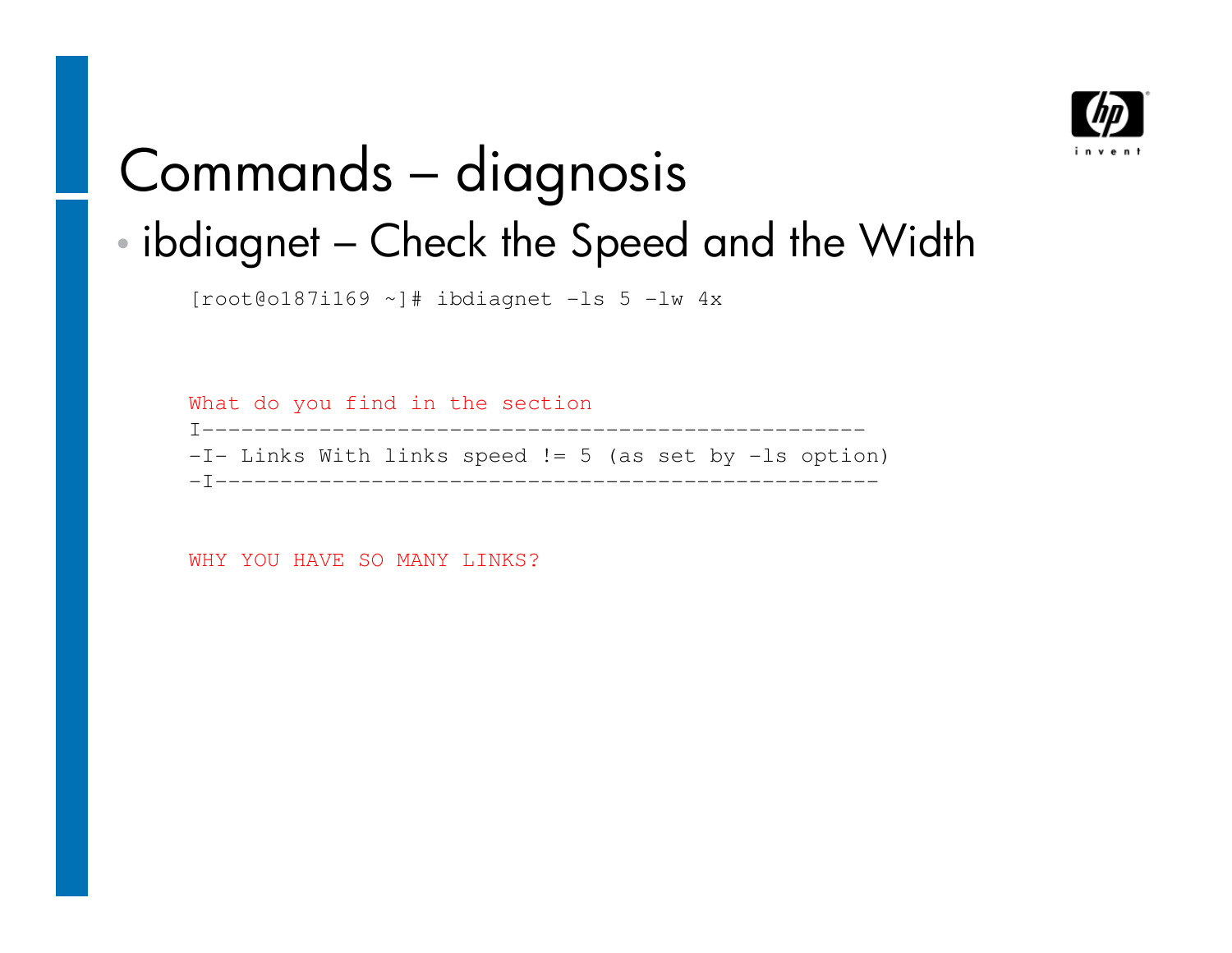

# Commands – diagnosis

#### •ibdiagnet – Check the Speed and the Width

 $[root@o187i169 \sim]$ # ibdiagnet -ls 5 -lw 4x

What do you find in the section I--------------------------------------------------- -I- Links With links speed != 5 (as set by -ls option) -I---------------------------------------------------

WHY YOU HAVE SO MANY LINKS?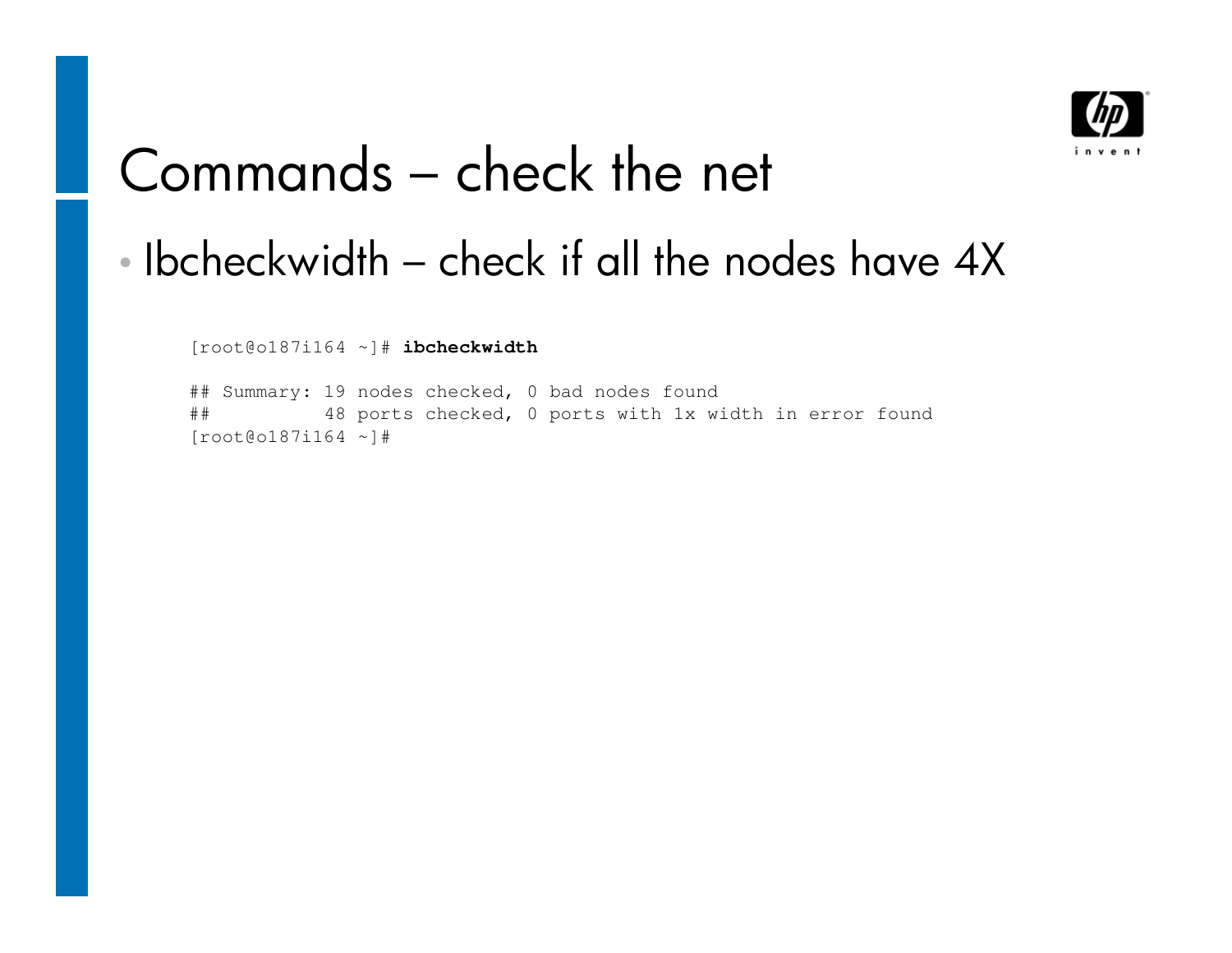

### Commands – check the net

#### •Ibcheckwidth – check if all the nodes have 4X

[root@o187i164 ~]# **ibcheckwidth**

## Summary: 19 nodes checked, 0 bad nodes found ## 48 ports checked, 0 ports with 1x width in error found[root@o187i164 ~]#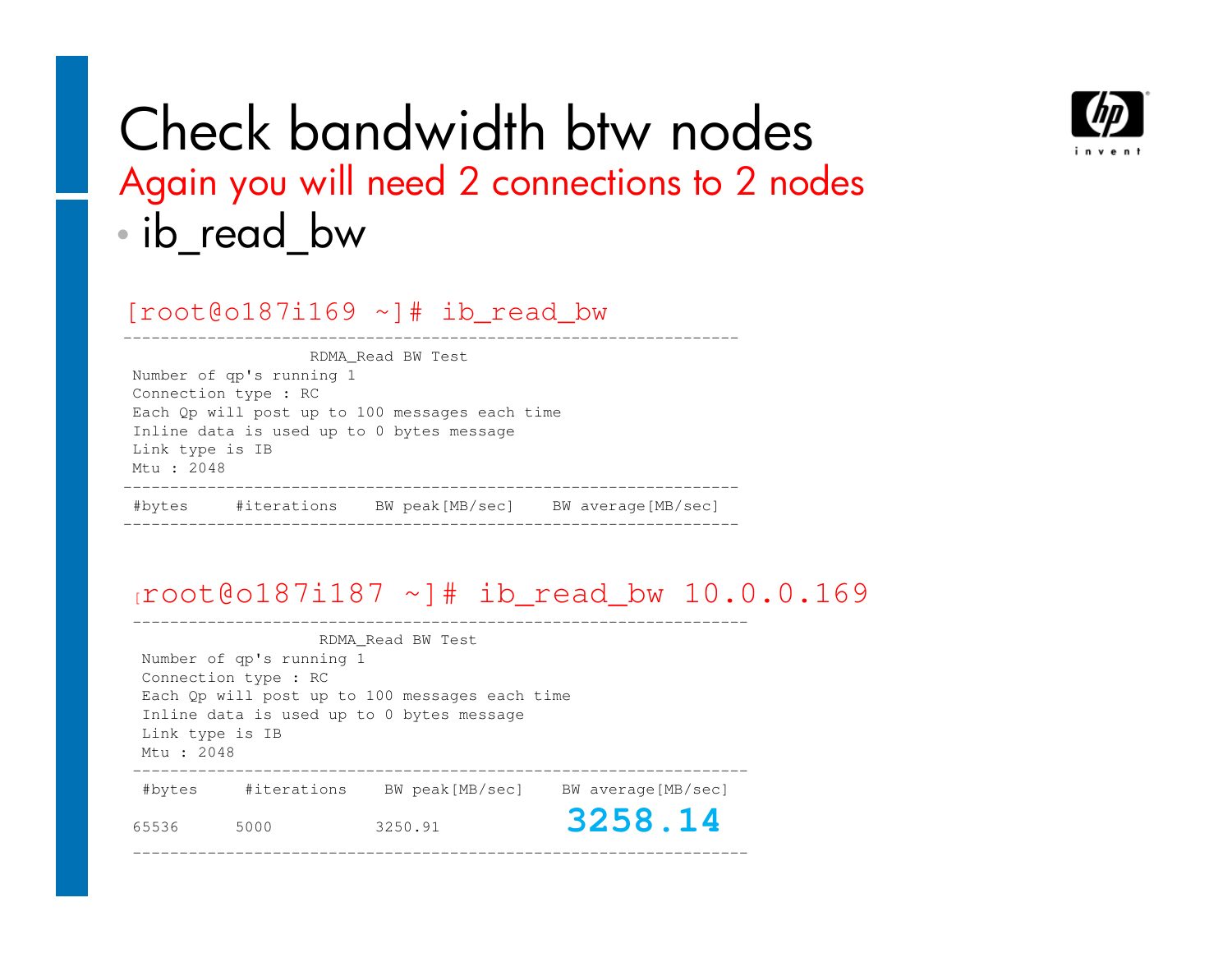

### Check bandwidth btw nodes Again you will need 2 connections to 2 nodes•ib\_read\_bw

[root@o187i169 ~]# ib\_read\_bw

|                      |                          | RDMA Read BW Test                              |  |  |  |  |  |  |
|----------------------|--------------------------|------------------------------------------------|--|--|--|--|--|--|
|                      | Number of qp's running 1 |                                                |  |  |  |  |  |  |
| Connection type : RC |                          |                                                |  |  |  |  |  |  |
|                      |                          | Each Qp will post up to 100 messages each time |  |  |  |  |  |  |
|                      |                          | Inline data is used up to 0 bytes message      |  |  |  |  |  |  |
|                      | Link type is IB          |                                                |  |  |  |  |  |  |
| Mtu: 2048            |                          |                                                |  |  |  |  |  |  |
|                      |                          |                                                |  |  |  |  |  |  |

#### [root@o187i187 ~]# ib\_read\_bw 10.0.0.169

RDMA\_Read BW TestNumber of qp's running 1Connection type : RC Each Qp will post up to 100 messages each timeInline data is used up to 0 bytes messageLink type is IBMtu : 2048 ------------------------------------------------------------------ #bytes #iterations BW peak[MB/sec] BW average[MB/sec]65536 5000 3250.91 **3258.14**

------------------------------------------------------------------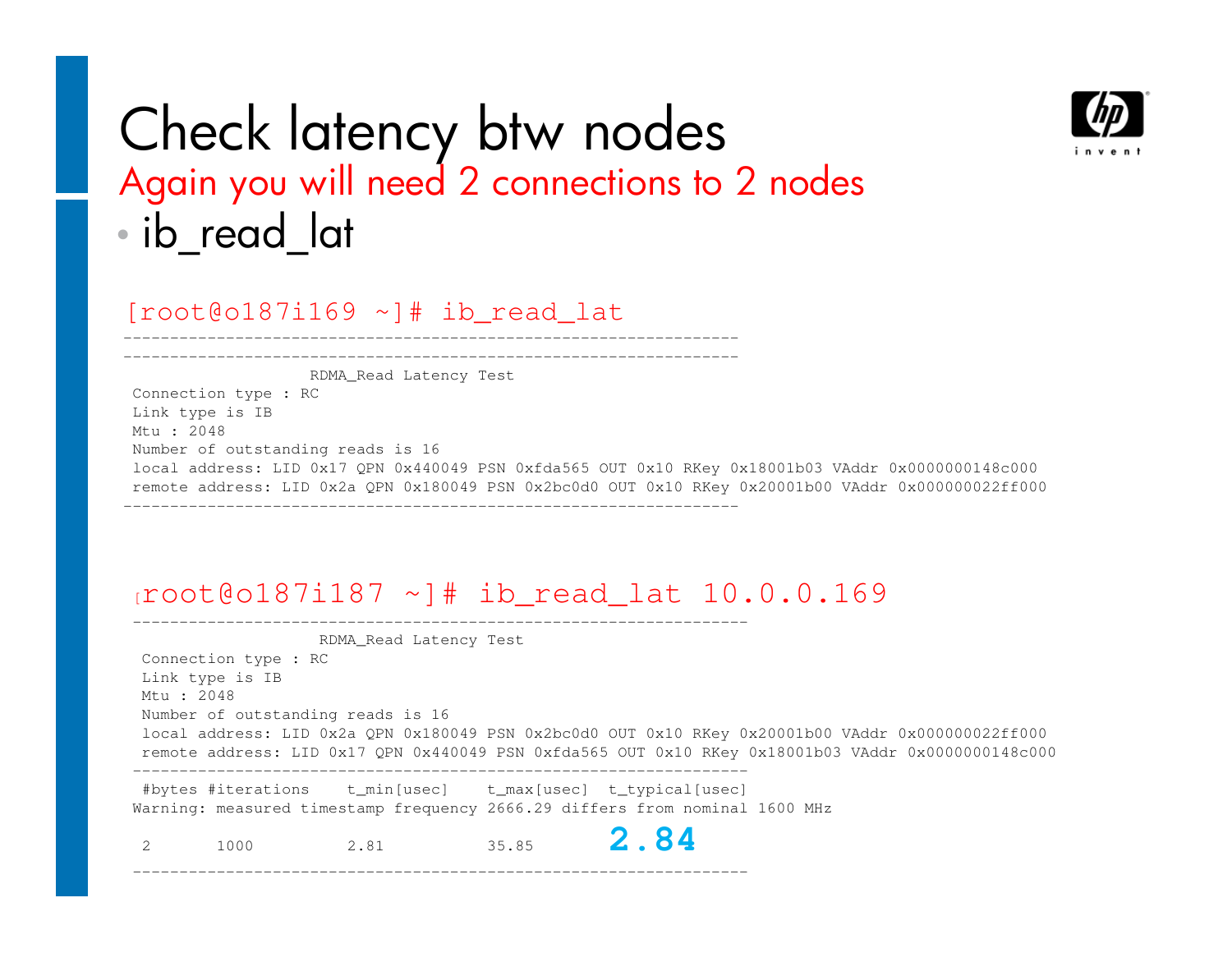

### Check latency btw nodes Again you will need 2 connections to 2 nodes•• ib\_read\_lat

[root@o187i169 ~]# ib\_read\_lat

RDMA\_Read Latency Test

Connection type : RCLink type is IBMtu : 2048 Number of outstanding reads is 16 local address: LID 0x17 QPN 0x440049 PSN 0xfda565 OUT 0x10 RKey 0x18001b03 VAddr 0x0000000148c000 remote address: LID 0x2a QPN 0x180049 PSN 0x2bc0d0 OUT 0x10 RKey 0x20001b00 VAddr 0x000000022ff000------------------------------------------------------------------

#### $10.0.0187i187$  ~]# ib read lat  $10.0.0.169$

RDMA\_Read Latency TestConnection type : RCLink type is IBMtu : 2048 Number of outstanding reads is 16 local address: LID 0x2a QPN 0x180049 PSN 0x2bc0d0 OUT 0x10 RKey 0x20001b00 VAddr 0x000000022ff000 remote address: LID 0x17 QPN 0x440049 PSN 0xfda565 OUT 0x10 RKey 0x18001b03 VAddr 0x0000000148c000------------------------------------------------------------------ #bytes #iterations t\_min[usec] t\_max[usec] t\_typical[usec]Warning: measured timestamp frequency 2666.29 differs from nominal 1600 MHz

2 1000 2.81 35.85 **2.84**

------------------------------------------------------------------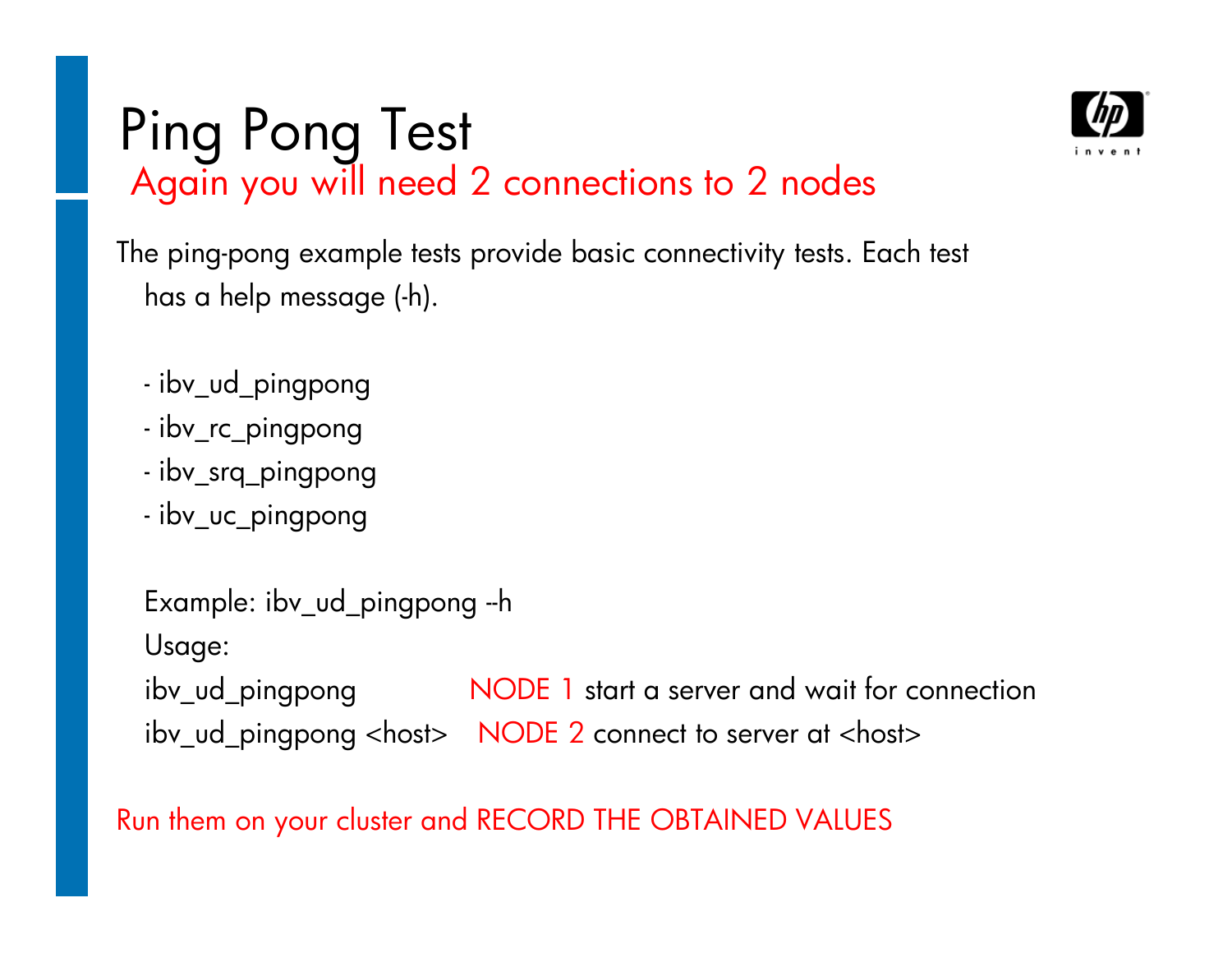# Ping Pong Test<br>Again you will need 2 connections to 2 nodes



The ping-pong example tests provide basic connectivity tests. Each test has a help message (-h).

- ibv\_ud\_pingpong
- ibv\_rc\_pingpong
- ibv\_srq\_pingpong
- ibv\_uc\_pingpong

```
Example: ibv_ud_pingpong --h
Usage:ibv_ud_pingpong
                  NODE 1 start a server and wait for connection
ibv_ud_pingpong <host> NODE 2 connect to server at <host>
```
#### Run them on your cluster and RECORD THE OBTAINED VALUES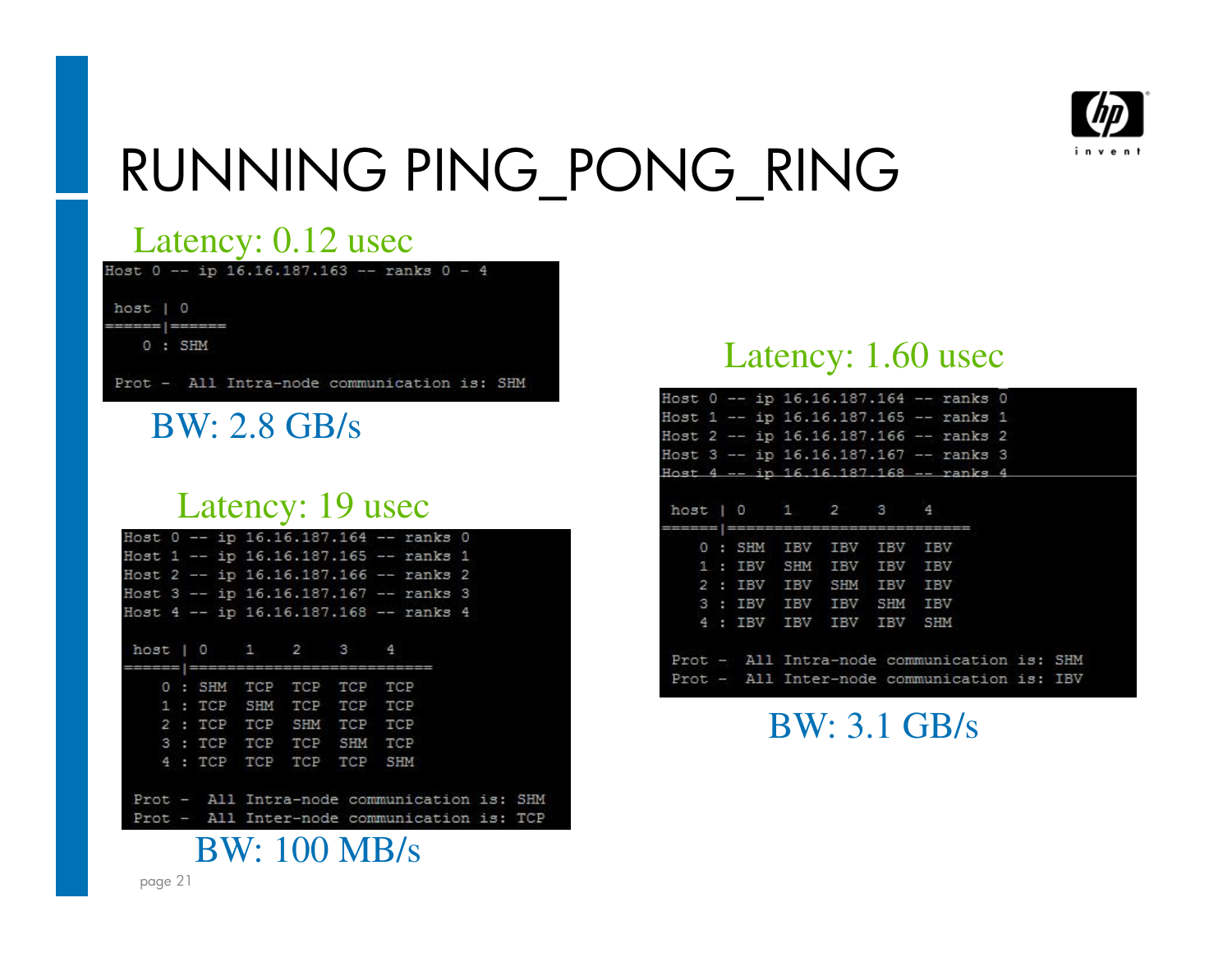

### RUNNING PING\_PONG\_RING

**SHM** TCP

#### Latency: 0.12 usec

Host  $0$  -- ip 16.16.187.163 -- ranks  $0 - 4$ host | ö  $0 : SHM$ 

 $Prot -$ All Intra-node communication is: SHM

#### BW: 2.8 GB/s

#### Latency: 19 usec

|  |  |                                                         |  | Host 0 -- ip 16.16.187.164 -- ranks 0   |  |
|--|--|---------------------------------------------------------|--|-----------------------------------------|--|
|  |  |                                                         |  | Host 1 -- ip 16.16.187.165 -- ranks 1   |  |
|  |  |                                                         |  | Host 2 -- ip 16.16.187.166 -- ranks 2   |  |
|  |  |                                                         |  | Host 3 -- ip 16.16.187.167 -- ranks 3   |  |
|  |  |                                                         |  | Host 4 -- ip 16.16.187.168 -- ranks 4   |  |
|  |  | host   0   1   2   3   4<br>=========================== |  |                                         |  |
|  |  | 0 : SHM TCP TCP TCP TCP                                 |  |                                         |  |
|  |  | 1: TCP SHM TCP TCP TCP                                  |  |                                         |  |
|  |  | 2 : TCP TCP SHM TCP TCP                                 |  |                                         |  |
|  |  | 3 : TCP TCP TCP SHM TCP                                 |  |                                         |  |
|  |  | 4 : TCP TCP TCP TCP SHM                                 |  |                                         |  |
|  |  |                                                         |  | Prot - All Intra-node communication is: |  |
|  |  |                                                         |  | Prot - All Inter-node communication is: |  |
|  |  | <b>BW: 100 MB/s</b>                                     |  |                                         |  |

#### Latency: 1.60 usec

|  |  |                          |  | Host 0 -- ip 16.16.187.164 -- ranks 0       |  |  |
|--|--|--------------------------|--|---------------------------------------------|--|--|
|  |  |                          |  | Host 1 -- ip 16.16.187.165 -- ranks 1       |  |  |
|  |  |                          |  | Host 2 -- ip 16.16.187.166 -- ranks 2       |  |  |
|  |  |                          |  | Host 3 -- ip 16.16.187.167 -- ranks 3       |  |  |
|  |  |                          |  | Host 4 -- ip 16.16.187.168 -- ranks 4       |  |  |
|  |  | host   0   1   2   3   4 |  |                                             |  |  |
|  |  | 0 : SHM IBV IBV IBV IBV  |  |                                             |  |  |
|  |  | 1 : IBV SHM IBV IBV IBV  |  |                                             |  |  |
|  |  | 2 : IBV IBV SHM IBV IBV  |  |                                             |  |  |
|  |  | 3 : IBV IBV IBV SHM IBV  |  |                                             |  |  |
|  |  | 4 : IBV IBV IBV IBV SHM  |  |                                             |  |  |
|  |  |                          |  | Prot - All Intra-node communication is: SHM |  |  |
|  |  |                          |  | Prot - All Inter-node communication is: IBV |  |  |
|  |  |                          |  |                                             |  |  |

BW: 3.1 GB/s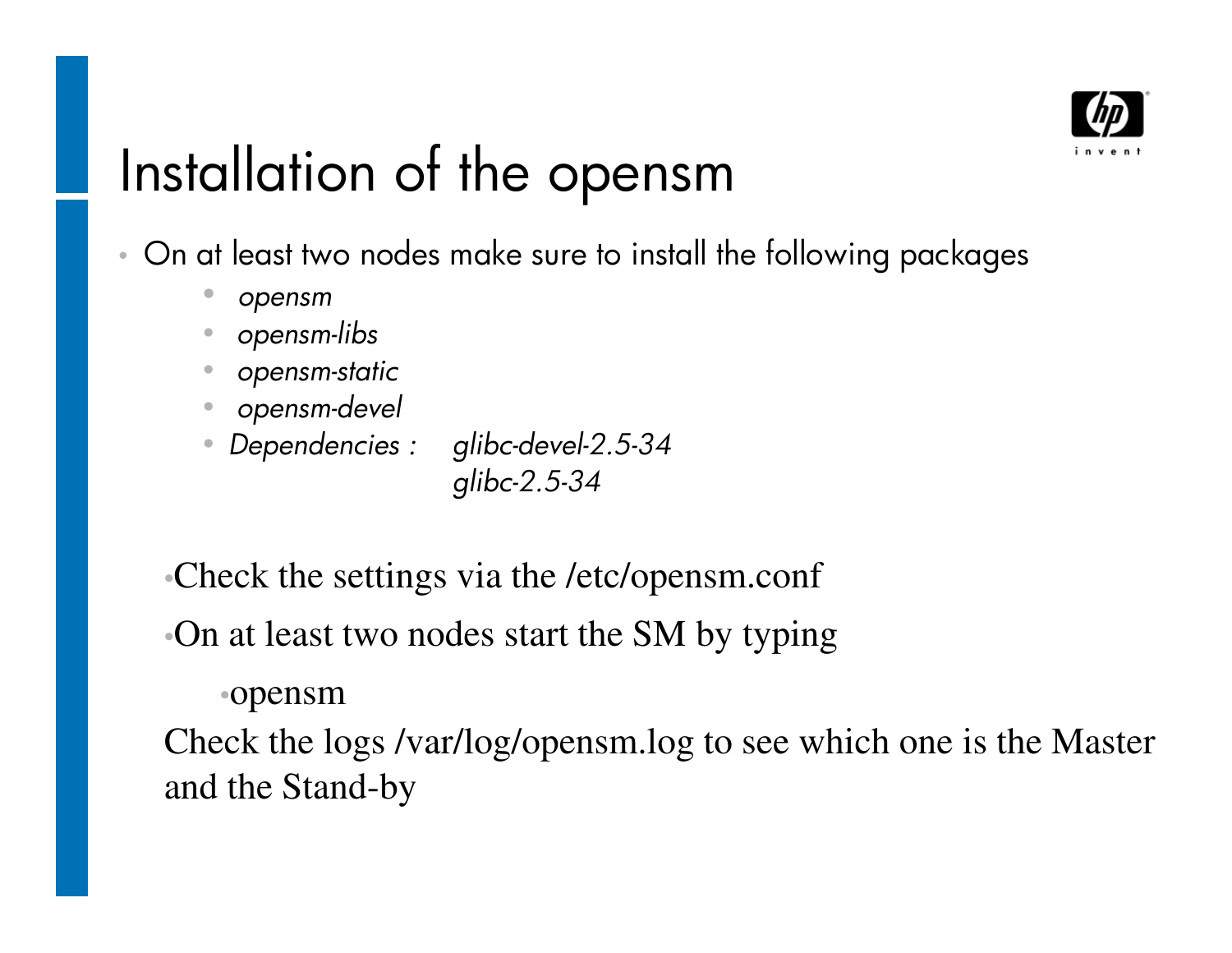

# Installation of the opensm

- • On at least two nodes make sure to install the following packages
	- $\bullet$ *opensm*
	- *opensm-libs* •
	- •*opensm-static*
	- •*opensm-devel*
	- *Dependencies : <sup>g</sup>libc-devel-2.5-34*

*glibc-2.5-34*

•Check the settings via the /etc/opensm.conf

•On at least two nodes start the SM by typing

•opensm

 Check the logs /var/log/opensm.log to see which one is the Master and the Stand-by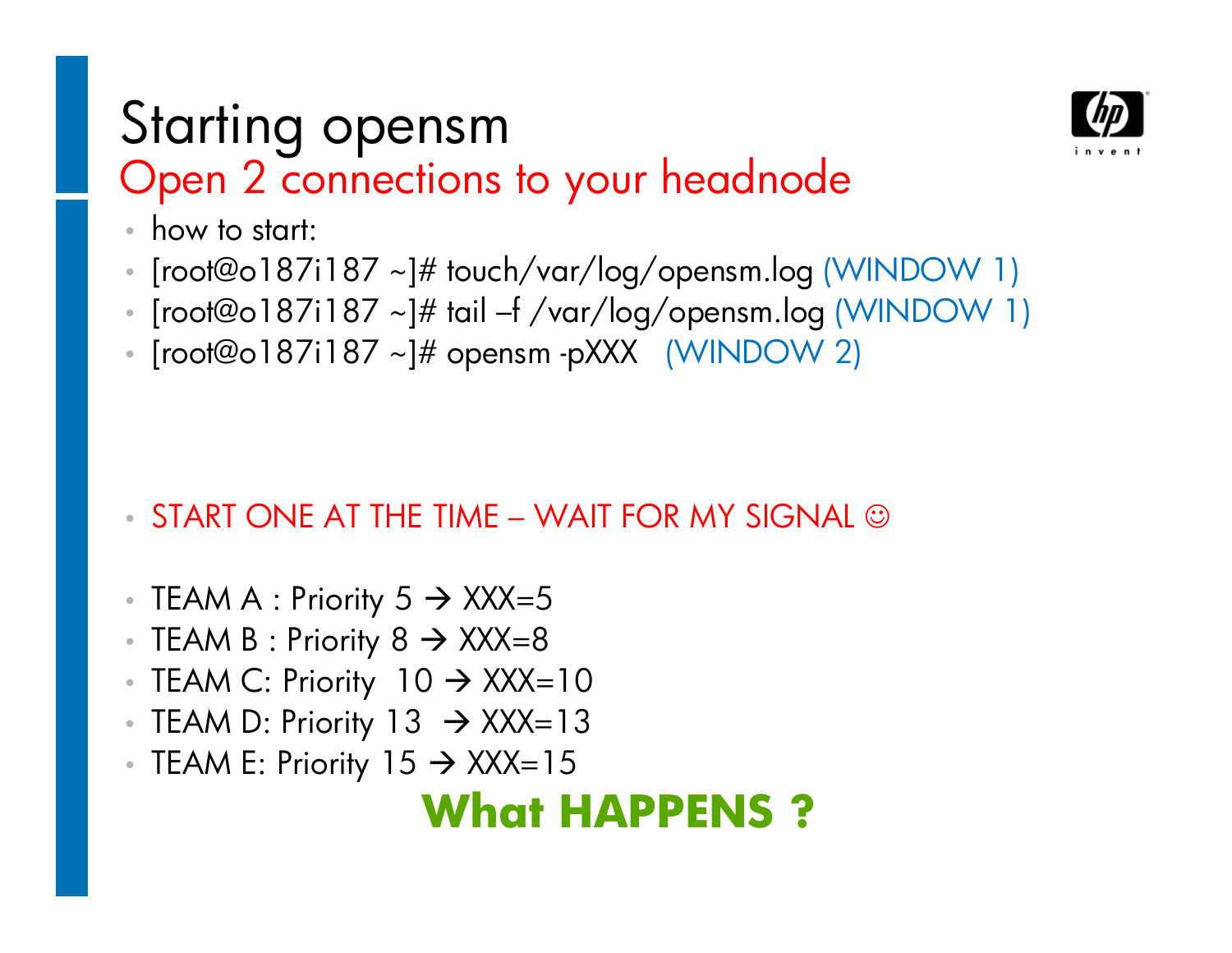### Starting opensmOpen 2 connections to your headnode



- •how to start:
- • $\sim$  [root@o187i187 ~]# touch/var/log/opensm.log (WINDOW 1)
- • $\bullet$  [root@o187i187 ~]# tail –f /var/log/opensm.log (WINDOW 1)
- [root@o187i187 ~]# opensm -pXXX (WINDOW 2)

- $\bullet$  START ONE AT THE TIME WAIT FOR MY SIGNAL  $\odot$
- TEAM A : Priority 5  $\rightarrow$  XXX=5<br>• TEAM B · Priority 8  $\rightarrow$  YYY\_8
- TEAM B : Priority 8 → XXX=8<br>• TEAM C: Priority, 10 → YYY-
- TEAM C: Priority 10 → XXX=10<br>• TEAM D: Priority 13 → YYY−13
- TEAM D: Priority 13 → XXX=13<br>• TEAM E: Priority 15 → YYY−15
- TEAM E: Priority 15  $\rightarrow$  XXX=15

### **What HAPPENS ?**